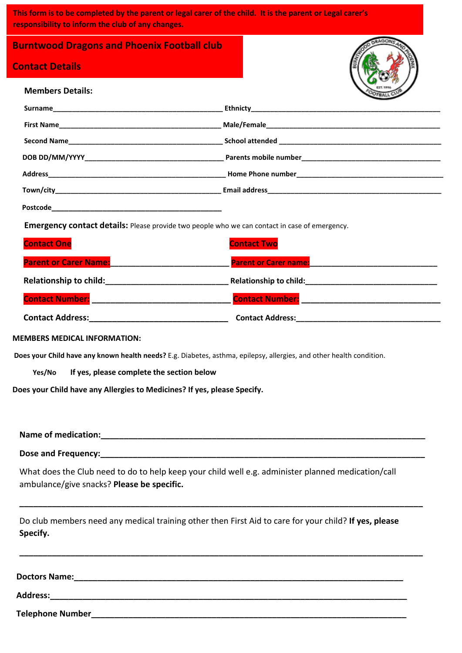**This form is to be completed by the parent or legal carer of the child. It is the parent or Legal carer's responsibility to inform the club of any changes.**

**Burntwood Dragons and Phoenix Football club** 

# **Contact Details**

| <b>Members Details:</b>                                                                                                                                                                                                        |                                                                                                      |
|--------------------------------------------------------------------------------------------------------------------------------------------------------------------------------------------------------------------------------|------------------------------------------------------------------------------------------------------|
|                                                                                                                                                                                                                                |                                                                                                      |
|                                                                                                                                                                                                                                |                                                                                                      |
|                                                                                                                                                                                                                                |                                                                                                      |
|                                                                                                                                                                                                                                |                                                                                                      |
|                                                                                                                                                                                                                                |                                                                                                      |
|                                                                                                                                                                                                                                |                                                                                                      |
|                                                                                                                                                                                                                                |                                                                                                      |
|                                                                                                                                                                                                                                | <b>Emergency contact details:</b> Please provide two people who we can contact in case of emergency. |
| <b>Contact One</b>                                                                                                                                                                                                             | <b>Contact Two</b>                                                                                   |
| Parent or Carer Name: Name: Name and Separate and Separate and Separate and Separate and Separate and Separate and Separate and Separate and Separate and Separate and Separate and Separate and Separate and Separate and Sep | Parent or Carer name: New York Carer and Separate and Separate and Separate and                      |
|                                                                                                                                                                                                                                |                                                                                                      |
| <u>Contact Number: _________________________________</u>                                                                                                                                                                       |                                                                                                      |
|                                                                                                                                                                                                                                |                                                                                                      |

#### **MEMBERS MEDICAL INFORMATION:**

**Does your Child have any known health needs?** E.g. Diabetes, asthma, epilepsy, allergies, and other health condition.

 **Yes/No If yes, please complete the section below**

**Does your Child have any Allergies to Medicines? If yes, please Specify.**

**Name of medication:\_\_\_\_\_\_\_\_\_\_\_\_\_\_\_\_\_\_\_\_\_\_\_\_\_\_\_\_\_\_\_\_\_\_\_\_\_\_\_\_\_\_\_\_\_\_\_\_\_\_\_\_\_\_\_\_\_\_\_\_\_\_\_\_\_\_\_\_\_\_**

Dose and Frequency:

What does the Club need to do to help keep your child well e.g. administer planned medication/call ambulance/give snacks? **Please be specific.**

Do club members need any medical training other then First Aid to care for your child? **If yes, please Specify.**

**\_\_\_\_\_\_\_\_\_\_\_\_\_\_\_\_\_\_\_\_\_\_\_\_\_\_\_\_\_\_\_\_\_\_\_\_\_\_\_\_\_\_\_\_\_\_\_\_\_\_\_\_\_\_\_\_\_\_\_\_\_\_\_\_\_\_\_\_\_\_\_\_\_\_\_\_\_\_\_\_\_\_\_\_\_\_\_**

**\_\_\_\_\_\_\_\_\_\_\_\_\_\_\_\_\_\_\_\_\_\_\_\_\_\_\_\_\_\_\_\_\_\_\_\_\_\_\_\_\_\_\_\_\_\_\_\_\_\_\_\_\_\_\_\_\_\_\_\_\_\_\_\_\_\_\_\_\_\_\_\_\_\_\_\_\_\_\_\_\_\_\_\_\_\_\_**

**Doctors Name:\_\_\_\_\_\_\_\_\_\_\_\_\_\_\_\_\_\_\_\_\_\_\_\_\_\_\_\_\_\_\_\_\_\_\_\_\_\_\_\_\_\_\_\_\_\_\_\_\_\_\_\_\_\_\_\_\_\_\_\_\_\_\_\_\_\_\_\_\_\_\_**

**Address:\_\_\_\_\_\_\_\_\_\_\_\_\_\_\_\_\_\_\_\_\_\_\_\_\_\_\_\_\_\_\_\_\_\_\_\_\_\_\_\_\_\_\_\_\_\_\_\_\_\_\_\_\_\_\_\_\_\_\_\_\_\_\_\_\_\_\_\_\_\_\_\_\_\_\_\_\_**

**Telephone Number\_\_\_\_\_\_\_\_\_\_\_\_\_\_\_\_\_\_\_\_\_\_\_\_\_\_\_\_\_\_\_\_\_\_\_\_\_\_\_\_\_\_\_\_\_\_\_\_\_\_\_\_\_\_\_\_\_\_\_\_\_\_\_\_\_\_\_\_**